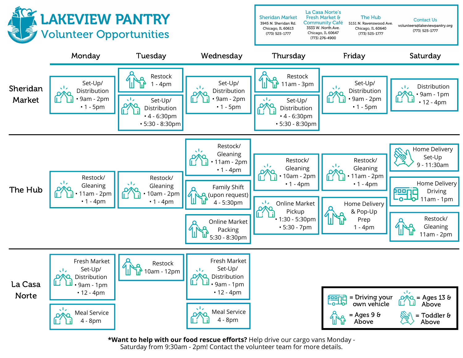

**\*Want to help with our food rescue efforts?** Help drive our cargo vans Monday -

Saturday from 9:30am - 2pm! Contact the volunteer team for more details.